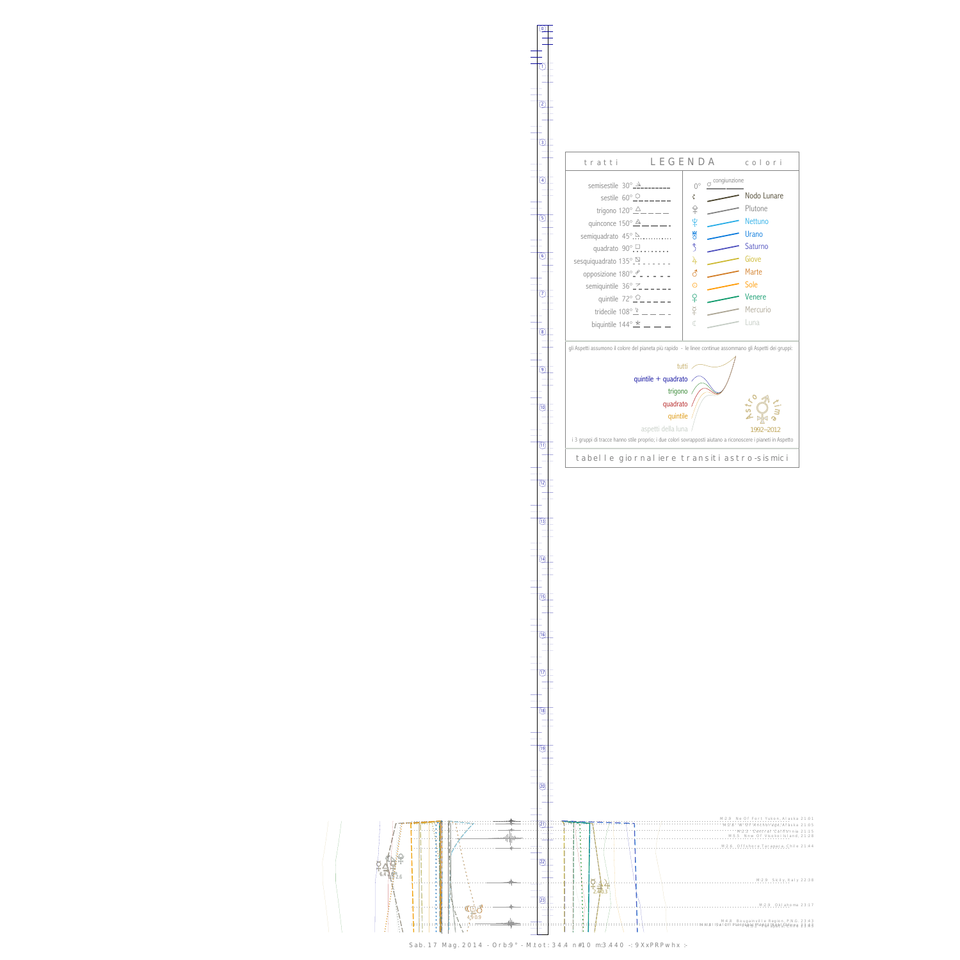0

1

Sab. 17 Mag. 2014 - Orb:9° - M.tot: 34.4 n#10 m:3.440 -: 9XxPRPwhx :-



13